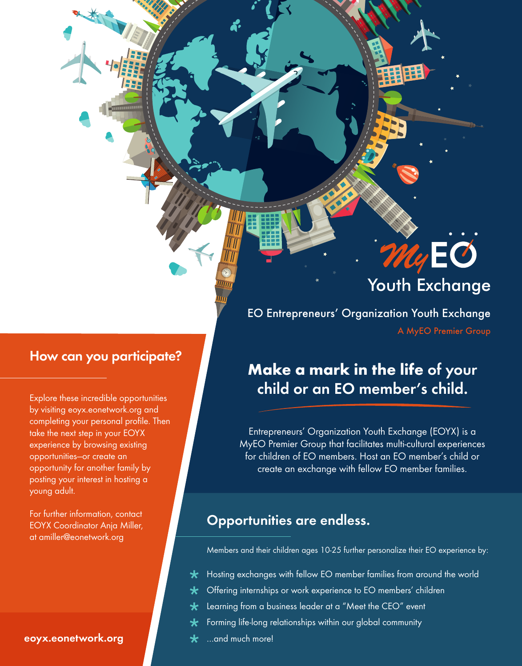### How can you participate?

Explore these incredible opportunities by visiting eoyx.eonetwork.org and completing your personal profile. Then take the next step in your EOYX experience by browsing existing opportunities—or create an opportunity for another family by posting your interest in hosting a young adult.

For further information, contact EOYX Coordinator Anja Miller, at amiller@eonetwork.org

#### eoyx.eonetwork.org

# **Youth Exchange**

My EO

EO Entrepreneurs' Organization Youth Exchange A MyEO Premier Group

# Make a mark in the life of your child or an EO member's child.

Entrepreneurs' Organization Youth Exchange (EOYX) is a MyEO Premier Group that facilitates multi-cultural experiences for children of EO members. Host an EO member's child or create an exchange with fellow EO member families.

## Opportunities are endless.

Members and their children ages 10-25 further personalize their EO experience by:

- $\star$ Hosting exchanges with fellow EO member families from around the world
- $\star$ Offering internships or work experience to EO members' children
- Learning from a business leader at a "Meet the CEO" event  $\star$
- $\star$ Forming life-long relationships within our global community
- …and much more!  $\bigstar$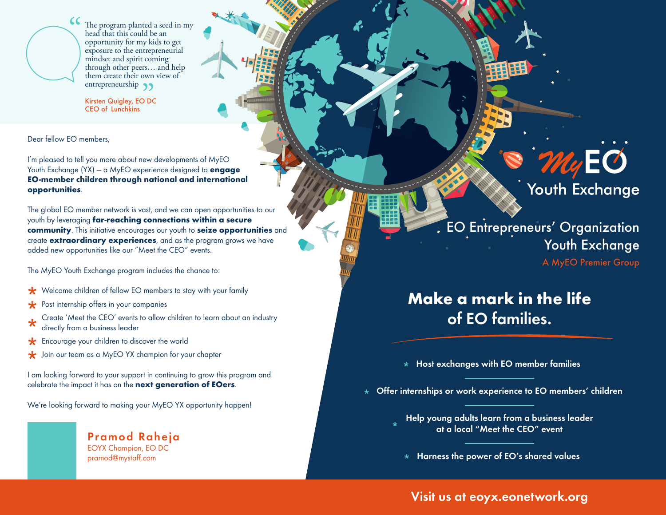

The program planted a seed in my head that this could be an opportunity for my kids to get exposure to the entrepreneurial mindset and spirit coming through other peers… and help them create their own view of entrepreneurship 99

Kirsten Quigley, EO DC CEO of Lunchkins

Dear fellow EO members,

I'm pleased to tell you more about new developments of MyEO Youth Exchange  $(YX)$  – a MyEO experience designed to **engage** EO-member children through national and international opportunities.

The global EO member network is vast, and we can open opportunities to our youth by leveraging far-reaching connections within a secure community. This initiative encourages our youth to seize opportunities and create **extraordinary experiences**, and as the program grows we have added new opportunities like our "Meet the CEO" events.

The MyEO Youth Exchange program includes the chance to:

- **★** Welcome children of fellow EO members to stay with your family
- $\star$ Post internship offers in your companies
- Create 'Meet the CEO' events to allow children to learn about an industry directly from a business leader
- Encourage your children to discover the world  $\star$
- Join our team as a MyEO YX champion for your chapter  $\star$

I am looking forward to your support in continuing to grow this program and celebrate the impact it has on the next generation of EOers.

We're looking forward to making your MyEO YX opportunity happen!

Pramod Raheja EOYX Champion, EO DC pramod@mystaff.com

EO Entrepreneurs' Organization Youth Exchange A MyEO Premier Group

 $\mathcal{W}_4$ EO

**Youth Exchange** 

# Make a mark in the life of EO families.

 $\star$  Host exchanges with EO member families

 $\star$  Offer internships or work experience to EO members' children

Help young adults learn from a business leader at a local "Meet the CEO" event

 $\star$  Harness the power of EO's shared values

#### Visit us at eoyx.eonetwork.org